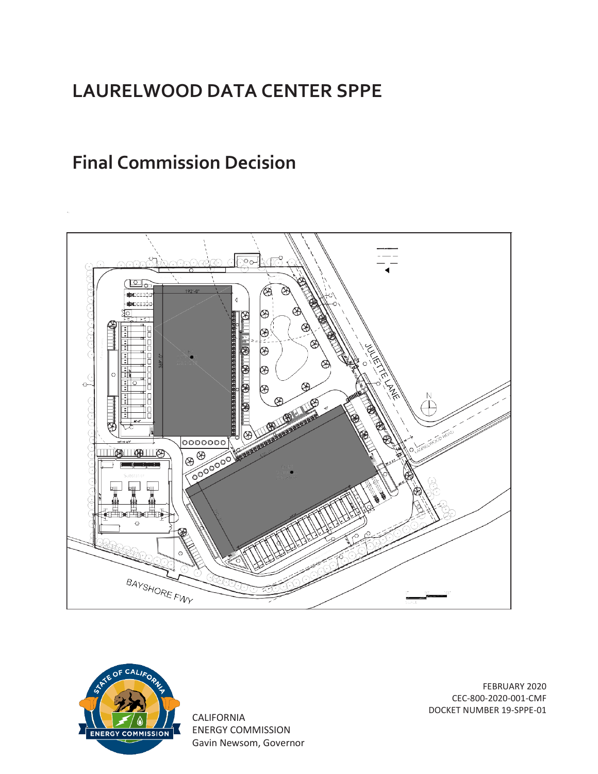# **LAURELWOOD DATA CENTER SPPE**

# **Final Commission Decision**





CALIFORNIA ENERGY COMMISSION Gavin Newsom, Governor

FEBRUARY 2020 CEC-800-2020-001-CMF DOCKET NUMBER 19-SPPE-01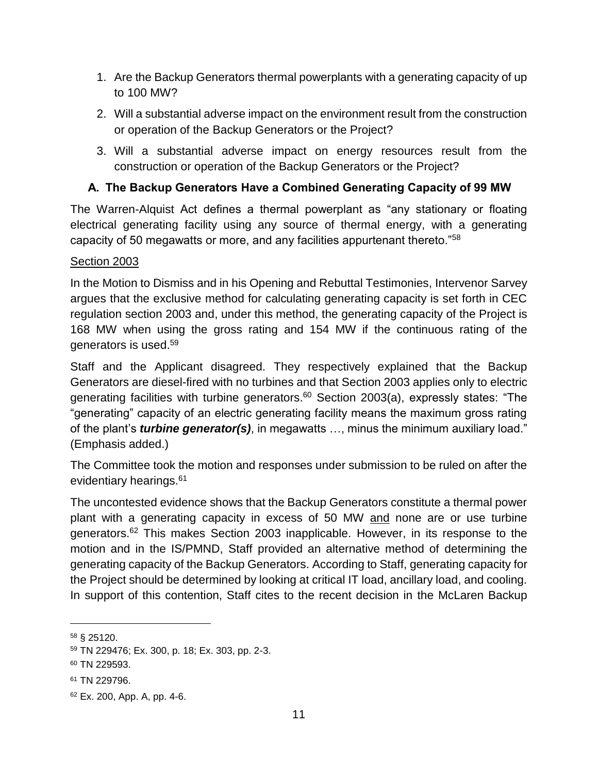- 1. Are the Backup Generators thermal powerplants with a generating capacity of up to 100 MW?
- 2. Will a substantial adverse impact on the environment result from the construction or operation of the Backup Generators or the Project?
- 3. Will a substantial adverse impact on energy resources result from the construction or operation of the Backup Generators or the Project?

## **A. The Backup Generators Have a Combined Generating Capacity of 99 MW**

The Warren-Alquist Act defines a thermal powerplant as "any stationary or floating electrical generating facility using any source of thermal energy, with a generating capacity of 50 megawatts or more, and any facilities appurtenant thereto."<sup>58</sup>

### Section 2003

In the Motion to Dismiss and in his Opening and Rebuttal Testimonies, Intervenor Sarvey argues that the exclusive method for calculating generating capacity is set forth in CEC regulation section 2003 and, under this method, the generating capacity of the Project is 168 MW when using the gross rating and 154 MW if the continuous rating of the generators is used.<sup>59</sup>

Staff and the Applicant disagreed. They respectively explained that the Backup Generators are diesel-fired with no turbines and that Section 2003 applies only to electric generating facilities with turbine generators. <sup>60</sup> Section 2003(a), expressly states: "The "generating" capacity of an electric generating facility means the maximum gross rating of the plant's *turbine generator(s)*, in megawatts …, minus the minimum auxiliary load." (Emphasis added.)

The Committee took the motion and responses under submission to be ruled on after the evidentiary hearings.<sup>61</sup>

The uncontested evidence shows that the Backup Generators constitute a thermal power plant with a generating capacity in excess of 50 MW and none are or use turbine generators.<sup>62</sup> This makes Section 2003 inapplicable. However, in its response to the motion and in the IS/PMND, Staff provided an alternative method of determining the generating capacity of the Backup Generators. According to Staff, generating capacity for the Project should be determined by looking at critical IT load, ancillary load, and cooling. In support of this contention, Staff cites to the recent decision in the McLaren Backup

<sup>58</sup> § 25120.

<sup>59</sup> TN 229476; Ex. 300, p. 18; Ex. 303, pp. 2-3.

<sup>60</sup> TN 229593.

<sup>61</sup> TN 229796.

<sup>62</sup> Ex. 200, App. A, pp. 4-6.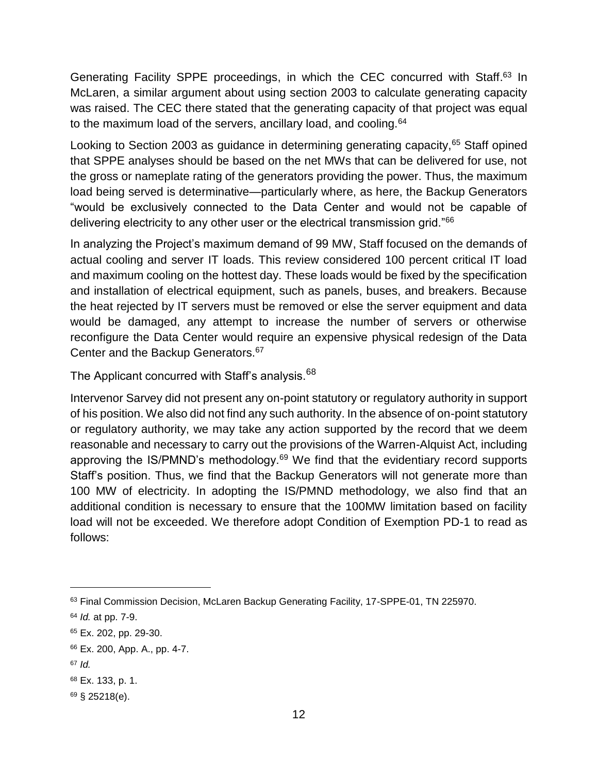Generating Facility SPPE proceedings, in which the CEC concurred with Staff.<sup>63</sup> In McLaren, a similar argument about using section 2003 to calculate generating capacity was raised. The CEC there stated that the generating capacity of that project was equal to the maximum load of the servers, ancillary load, and cooling.<sup>64</sup>

Looking to Section 2003 as guidance in determining generating capacity,<sup>65</sup> Staff opined that SPPE analyses should be based on the net MWs that can be delivered for use, not the gross or nameplate rating of the generators providing the power. Thus, the maximum load being served is determinative—particularly where, as here, the Backup Generators "would be exclusively connected to the Data Center and would not be capable of delivering electricity to any other user or the electrical transmission grid."<sup>66</sup>

In analyzing the Project's maximum demand of 99 MW, Staff focused on the demands of actual cooling and server IT loads. This review considered 100 percent critical IT load and maximum cooling on the hottest day. These loads would be fixed by the specification and installation of electrical equipment, such as panels, buses, and breakers. Because the heat rejected by IT servers must be removed or else the server equipment and data would be damaged, any attempt to increase the number of servers or otherwise reconfigure the Data Center would require an expensive physical redesign of the Data Center and the Backup Generators.<sup>67</sup>

The Applicant concurred with Staff's analysis.<sup>68</sup>

Intervenor Sarvey did not present any on-point statutory or regulatory authority in support of his position. We also did not find any such authority. In the absence of on-point statutory or regulatory authority, we may take any action supported by the record that we deem reasonable and necessary to carry out the provisions of the Warren-Alquist Act, including approving the IS/PMND's methodology.<sup>69</sup> We find that the evidentiary record supports Staff's position. Thus, we find that the Backup Generators will not generate more than 100 MW of electricity. In adopting the IS/PMND methodology, we also find that an additional condition is necessary to ensure that the 100MW limitation based on facility load will not be exceeded. We therefore adopt Condition of Exemption PD-1 to read as follows:

<sup>63</sup> Final Commission Decision, McLaren Backup Generating Facility, 17-SPPE-01, TN 225970.

<sup>64</sup> *Id.* at pp. 7-9.

<sup>65</sup> Ex. 202, pp. 29-30.

<sup>66</sup> Ex. 200, App. A., pp. 4-7.

<sup>67</sup> *Id.*

<sup>68</sup> Ex. 133, p. 1.

<sup>69</sup> § 25218(e).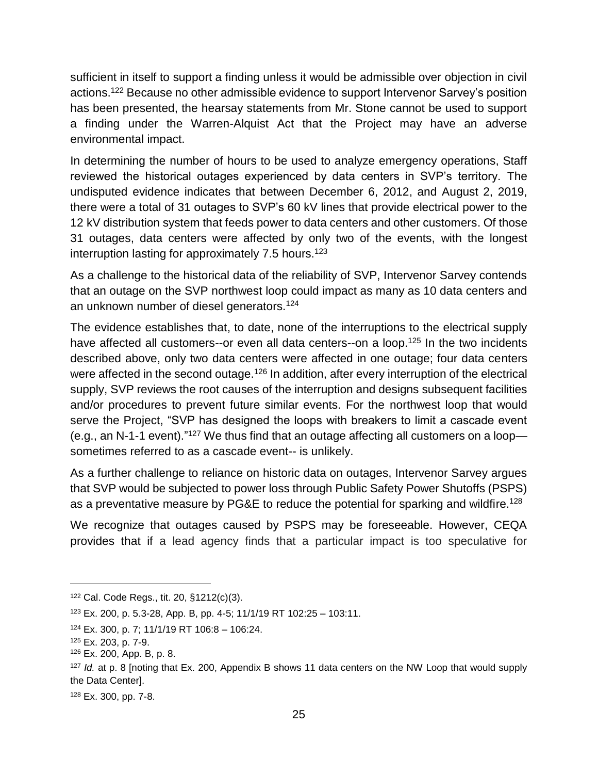sufficient in itself to support a finding unless it would be admissible over objection in civil actions.<sup>122</sup> Because no other admissible evidence to support Intervenor Sarvey's position has been presented, the hearsay statements from Mr. Stone cannot be used to support a finding under the Warren-Alquist Act that the Project may have an adverse environmental impact.

In determining the number of hours to be used to analyze emergency operations, Staff reviewed the historical outages experienced by data centers in SVP's territory. The undisputed evidence indicates that between December 6, 2012, and August 2, 2019, there were a total of 31 outages to SVP's 60 kV lines that provide electrical power to the 12 kV distribution system that feeds power to data centers and other customers. Of those 31 outages, data centers were affected by only two of the events, with the longest interruption lasting for approximately 7.5 hours.<sup>123</sup>

As a challenge to the historical data of the reliability of SVP, Intervenor Sarvey contends that an outage on the SVP northwest loop could impact as many as 10 data centers and an unknown number of diesel generators.<sup>124</sup>

The evidence establishes that, to date, none of the interruptions to the electrical supply have affected all customers--or even all data centers--on a loop.<sup>125</sup> In the two incidents described above, only two data centers were affected in one outage; four data centers were affected in the second outage.<sup>126</sup> In addition, after every interruption of the electrical supply, SVP reviews the root causes of the interruption and designs subsequent facilities and/or procedures to prevent future similar events. For the northwest loop that would serve the Project, "SVP has designed the loops with breakers to limit a cascade event (e.g., an N-1-1 event)." $127$  We thus find that an outage affecting all customers on a loopsometimes referred to as a cascade event-- is unlikely.

As a further challenge to reliance on historic data on outages, Intervenor Sarvey argues that SVP would be subjected to power loss through Public Safety Power Shutoffs (PSPS) as a preventative measure by PG&E to reduce the potential for sparking and wildfire.<sup>128</sup>

We recognize that outages caused by PSPS may be foreseeable. However, CEQA provides that if a lead agency finds that a particular impact is too speculative for

<sup>122</sup> Cal. Code Regs., tit. 20, §1212(c)(3).

<sup>123</sup> Ex. 200, p. 5.3-28, App. B, pp. 4-5; 11/1/19 RT 102:25 – 103:11.

 $124$  Ex. 300, p. 7; 11/1/19 RT 106:8 - 106:24.

<sup>125</sup> Ex. 203, p. 7-9.

<sup>126</sup> Ex. 200, App. B, p. 8.

<sup>127</sup> *Id.* at p. 8 [noting that Ex. 200, Appendix B shows 11 data centers on the NW Loop that would supply the Data Center].

<sup>128</sup> Ex. 300, pp. 7-8.